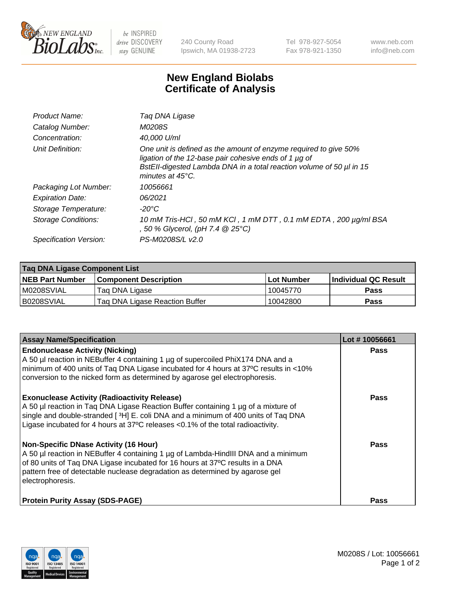

 $be$  INSPIRED drive DISCOVERY stay GENUINE

240 County Road Ipswich, MA 01938-2723 Tel 978-927-5054 Fax 978-921-1350 www.neb.com info@neb.com

## **New England Biolabs Certificate of Analysis**

| Product Name:              | Tag DNA Ligase                                                                                                                                                                                                                  |
|----------------------------|---------------------------------------------------------------------------------------------------------------------------------------------------------------------------------------------------------------------------------|
| Catalog Number:            | M0208S                                                                                                                                                                                                                          |
| Concentration:             | 40,000 U/ml                                                                                                                                                                                                                     |
| Unit Definition:           | One unit is defined as the amount of enzyme required to give 50%<br>ligation of the 12-base pair cohesive ends of 1 µg of<br>BstEll-digested Lambda DNA in a total reaction volume of 50 µl in 15<br>minutes at $45^{\circ}$ C. |
| Packaging Lot Number:      | 10056661                                                                                                                                                                                                                        |
| <b>Expiration Date:</b>    | 06/2021                                                                                                                                                                                                                         |
| Storage Temperature:       | $-20^{\circ}$ C                                                                                                                                                                                                                 |
| <b>Storage Conditions:</b> | 10 mM Tris-HCl, 50 mM KCl, 1 mM DTT, 0.1 mM EDTA, 200 µg/ml BSA<br>, 50 % Glycerol, (pH 7.4 $@25°C$ )                                                                                                                           |
| Specification Version:     | PS-M0208S/L v2.0                                                                                                                                                                                                                |

| Taq DNA Ligase Component List |                                |            |                      |  |
|-------------------------------|--------------------------------|------------|----------------------|--|
| <b>NEB Part Number</b>        | <b>Component Description</b>   | Lot Number | Individual QC Result |  |
| IM0208SVIAL                   | Tag DNA Ligase                 | 10045770   | <b>Pass</b>          |  |
| B0208SVIAL                    | Taq DNA Ligase Reaction Buffer | 10042800   | Pass                 |  |

| <b>Assay Name/Specification</b>                                                                                                                                                                                                                                                                                         | Lot #10056661 |
|-------------------------------------------------------------------------------------------------------------------------------------------------------------------------------------------------------------------------------------------------------------------------------------------------------------------------|---------------|
| <b>Endonuclease Activity (Nicking)</b><br>A 50 µl reaction in NEBuffer 4 containing 1 µg of supercoiled PhiX174 DNA and a<br>minimum of 400 units of Taq DNA Ligase incubated for 4 hours at 37°C results in <10%<br>conversion to the nicked form as determined by agarose gel electrophoresis.                        | <b>Pass</b>   |
| <b>Exonuclease Activity (Radioactivity Release)</b><br>A 50 µl reaction in Taq DNA Ligase Reaction Buffer containing 1 µg of a mixture of<br>single and double-stranded [3H] E. coli DNA and a minimum of 400 units of Taq DNA<br>Ligase incubated for 4 hours at 37°C releases <0.1% of the total radioactivity.       | <b>Pass</b>   |
| <b>Non-Specific DNase Activity (16 Hour)</b><br>A 50 µl reaction in NEBuffer 4 containing 1 µg of Lambda-HindIII DNA and a minimum<br>of 80 units of Taq DNA Ligase incubated for 16 hours at 37°C results in a DNA<br>pattern free of detectable nuclease degradation as determined by agarose gel<br>electrophoresis. | Pass          |
| <b>Protein Purity Assay (SDS-PAGE)</b>                                                                                                                                                                                                                                                                                  | <b>Pass</b>   |